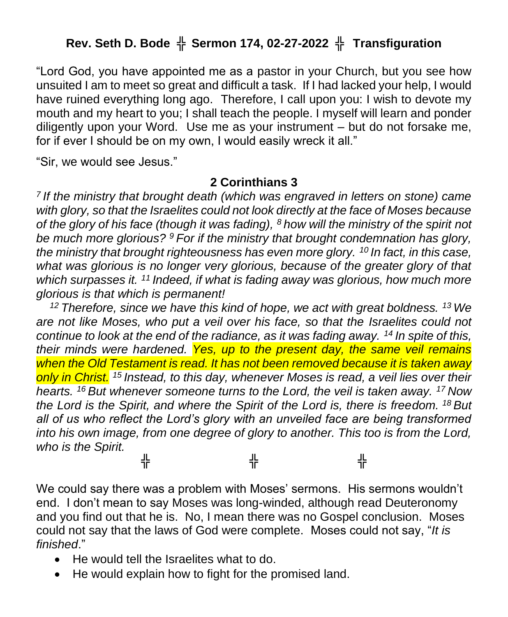# **Rev. Seth D. Bode** ╬ **Sermon 174, 02-27-2022** ╬ **Transfiguration**

"Lord God, you have appointed me as a pastor in your Church, but you see how unsuited I am to meet so great and difficult a task. If I had lacked your help, I would have ruined everything long ago. Therefore, I call upon you: I wish to devote my mouth and my heart to you; I shall teach the people. I myself will learn and ponder diligently upon your Word. Use me as your instrument – but do not forsake me, for if ever I should be on my own, I would easily wreck it all."

"Sir, we would see Jesus."

#### **2 Corinthians 3**

*7 If the ministry that brought death (which was engraved in letters on stone) came with glory, so that the Israelites could not look directly at the face of Moses because of the glory of his face (though it was fading), <sup>8</sup> how will the ministry of the spirit not be much more glorious? <sup>9</sup> For if the ministry that brought condemnation has glory, the ministry that brought righteousness has even more glory. <sup>10</sup> In fact, in this case, what was glorious is no longer very glorious, because of the greater glory of that which surpasses it. <sup>11</sup> Indeed, if what is fading away was glorious, how much more glorious is that which is permanent!*

*<sup>12</sup> Therefore, since we have this kind of hope, we act with great boldness. <sup>13</sup> We are not like Moses, who put a veil over his face, so that the Israelites could not continue to look at the end of the radiance, as it was fading away. <sup>14</sup> In spite of this, their minds were hardened. Yes, up to the present day, the same veil remains when the Old Testament is read. It has not been removed because it is taken away only in Christ. <sup>15</sup> Instead, to this day, whenever Moses is read, a veil lies over their hearts. <sup>16</sup> But whenever someone turns to the Lord, the veil is taken away. <sup>17</sup> Now the Lord is the Spirit, and where the Spirit of the Lord is, there is freedom. <sup>18</sup> But all of us who reflect the Lord's glory with an unveiled face are being transformed into his own image, from one degree of glory to another. This too is from the Lord, who is the Spirit.*

╬ ╬ ╬

We could say there was a problem with Moses' sermons. His sermons wouldn't end. I don't mean to say Moses was long-winded, although read Deuteronomy and you find out that he is. No, I mean there was no Gospel conclusion. Moses could not say that the laws of God were complete. Moses could not say, "*It is finished*."

- He would tell the Israelites what to do.
- He would explain how to fight for the promised land.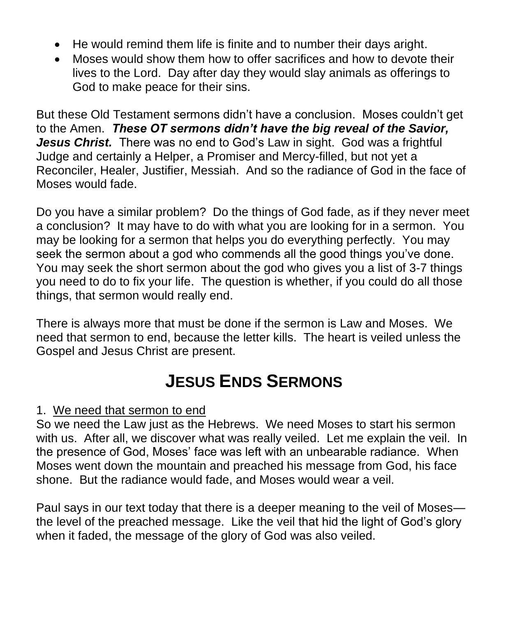- He would remind them life is finite and to number their days aright.
- Moses would show them how to offer sacrifices and how to devote their lives to the Lord. Day after day they would slay animals as offerings to God to make peace for their sins.

But these Old Testament sermons didn't have a conclusion. Moses couldn't get to the Amen. *These OT sermons didn't have the big reveal of the Savior, Jesus Christ.* There was no end to God's Law in sight. God was a frightful Judge and certainly a Helper, a Promiser and Mercy-filled, but not yet a Reconciler, Healer, Justifier, Messiah. And so the radiance of God in the face of Moses would fade.

Do you have a similar problem? Do the things of God fade, as if they never meet a conclusion? It may have to do with what you are looking for in a sermon. You may be looking for a sermon that helps you do everything perfectly. You may seek the sermon about a god who commends all the good things you've done. You may seek the short sermon about the god who gives you a list of 3-7 things you need to do to fix your life. The question is whether, if you could do all those things, that sermon would really end.

There is always more that must be done if the sermon is Law and Moses. We need that sermon to end, because the letter kills. The heart is veiled unless the Gospel and Jesus Christ are present.

# **JESUS ENDS SERMONS**

## 1. We need that sermon to end

So we need the Law just as the Hebrews. We need Moses to start his sermon with us. After all, we discover what was really veiled. Let me explain the veil. In the presence of God, Moses' face was left with an unbearable radiance. When Moses went down the mountain and preached his message from God, his face shone. But the radiance would fade, and Moses would wear a veil.

Paul says in our text today that there is a deeper meaning to the veil of Moses the level of the preached message. Like the veil that hid the light of God's glory when it faded, the message of the glory of God was also veiled.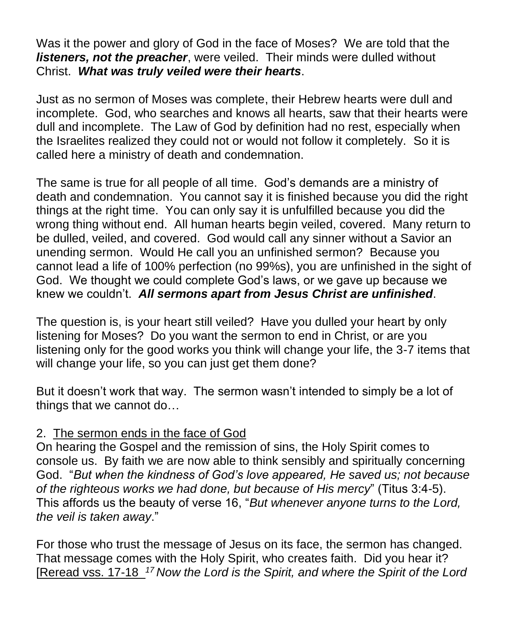Was it the power and glory of God in the face of Moses? We are told that the *listeners, not the preacher, were veiled.* Their minds were dulled without Christ. *What was truly veiled were their hearts*.

Just as no sermon of Moses was complete, their Hebrew hearts were dull and incomplete. God, who searches and knows all hearts, saw that their hearts were dull and incomplete. The Law of God by definition had no rest, especially when the Israelites realized they could not or would not follow it completely. So it is called here a ministry of death and condemnation.

The same is true for all people of all time. God's demands are a ministry of death and condemnation. You cannot say it is finished because you did the right things at the right time. You can only say it is unfulfilled because you did the wrong thing without end. All human hearts begin veiled, covered. Many return to be dulled, veiled, and covered. God would call any sinner without a Savior an unending sermon. Would He call you an unfinished sermon? Because you cannot lead a life of 100% perfection (no 99%s), you are unfinished in the sight of God. We thought we could complete God's laws, or we gave up because we knew we couldn't. *All sermons apart from Jesus Christ are unfinished*.

The question is, is your heart still veiled? Have you dulled your heart by only listening for Moses? Do you want the sermon to end in Christ, or are you listening only for the good works you think will change your life, the 3-7 items that will change your life, so you can just get them done?

But it doesn't work that way. The sermon wasn't intended to simply be a lot of things that we cannot do…

### 2. The sermon ends in the face of God

On hearing the Gospel and the remission of sins, the Holy Spirit comes to console us. By faith we are now able to think sensibly and spiritually concerning God. "*But when the kindness of God's love appeared, He saved us; not because of the righteous works we had done, but because of His mercy*" (Titus 3:4-5). This affords us the beauty of verse 16, "*But whenever anyone turns to the Lord, the veil is taken away*."

For those who trust the message of Jesus on its face, the sermon has changed. That message comes with the Holy Spirit, who creates faith. Did you hear it? [Reread vss. 17-18 *<sup>17</sup> Now the Lord is the Spirit, and where the Spirit of the Lord*